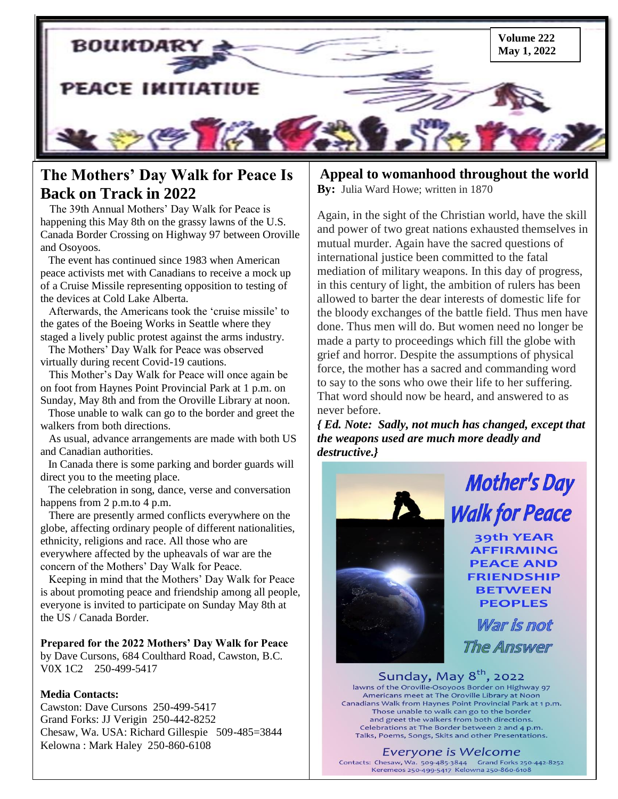

## **The Mothers' Day Walk for Peace Is Back on Track in 2022**

 The 39th Annual Mothers" Day Walk for Peace is happening this May 8th on the grassy lawns of the U.S. Canada Border Crossing on Highway 97 between Oroville and Osoyoos.

 peace activists met with Canadians to receive a mock up The event has continued since 1983 when American of a Cruise Missile representing opposition to testing of the devices at Cold Lake Alberta.

 Afterwards, the Americans took the "cruise missile" to the gates of the Boeing Works in Seattle where they staged a lively public protest against the arms industry.

 The Mothers" Day Walk for Peace was observed virtually during recent Covid-19 cautions.

 This Mother"s Day Walk for Peace will once again be on foot from Haynes Point Provincial Park at 1 p.m. on Sunday, May 8th and from the Oroville Library at noon.

 Those unable to walk can go to the border and greet the walkers from both directions.

 As usual, advance arrangements are made with both US and Canadian authorities.

 In Canada there is some parking and border guards will direct you to the meeting place.

 The celebration in song, dance, verse and conversation happens from 2 p.m.to 4 p.m.

 There are presently armed conflicts everywhere on the globe, affecting ordinary people of different nationalities, ethnicity, religions and race. All those who are everywhere affected by the upheavals of war are the concern of the Mothers" Day Walk for Peace.

 Keeping in mind that the Mothers" Day Walk for Peace is about promoting peace and friendship among all people, everyone is invited to participate on Sunday May 8th at the US / Canada Border.

#### **Prepared for the 2022 Mothers' Day Walk for Peace**

by Dave Cursons, 684 Coulthard Road, Cawston, B.C. V0X 1C2 250-499-5417

#### **Media Contacts:**

ֺ

Cawston: Dave Cursons 250-499-5417 Grand Forks: JJ Verigin 250-442-8252 Chesaw, Wa. USA: Richard Gillespie 509-485=3844 Kelowna : Mark Haley 250-860-6108

#### **Appeal to womanhood throughout the world By:** Julia Ward Howe; written in 1870

Again, in the sight of the Christian world, have the skill and power of two great nations exhausted themselves in mutual murder. Again have the sacred questions of international justice been committed to the fatal mediation of military weapons. In this day of progress, in this century of light, the ambition of rulers has been allowed to barter the dear interests of domestic life for the bloody exchanges of the battle field. Thus men have done. Thus men will do. But women need no longer be made a party to proceedings which fill the globe with grief and horror. Despite the assumptions of physical force, the mother has a sacred and commanding word to say to the sons who owe their life to her suffering. That word should now be heard, and answered to as never before.

*{ Ed. Note: Sadly, not much has changed, except that the weapons used are much more deadly and destructive.}*



# **Mother's Day Walk for Peace**

**39th YEAR AFFIRMING PEACE AND FRIENDSHIP BETWEEN PEOPLES** 

War is not **The Answer** 

Sunday, May 8<sup>th</sup>, 2022 lawns of the Oroville-Osoyoos Border on Highway 97 Americans meet at The Oroville Library at Noon Canadians Walk from Haynes Point Provincial Park at 1 p.m. Those unable to walk can go to the border and greet the walkers from both directions. Celebrations at The Border between 2 and 4 p.m. Talks, Poems, Songs, Skits and other Presentations.

#### Everyone is Welcome

Contacts: Chesaw, Wa. 509-485-3844 Grand Forks 250-442-8252 Keremeos 250-499-5417 Kelowna 250-860-6108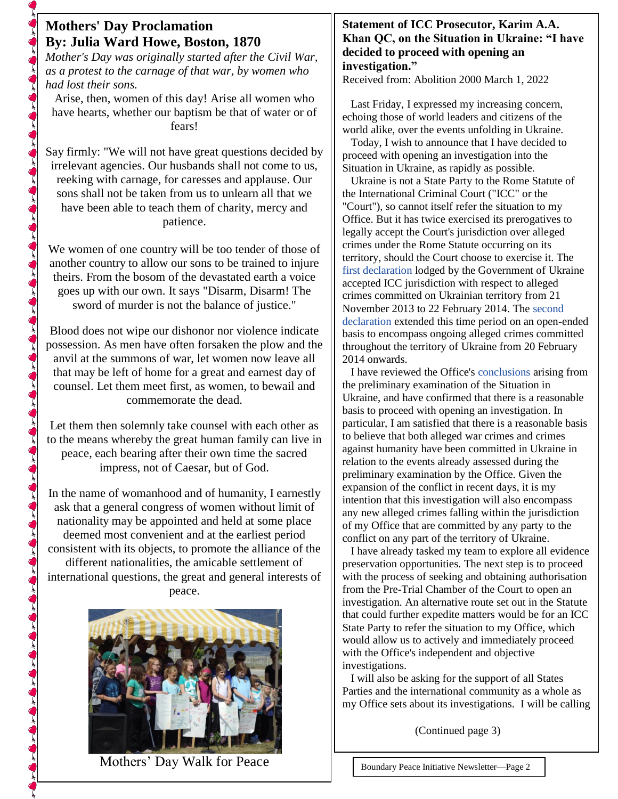### **Mothers' Day Proclamation By: Julia Ward Howe, Boston, 1870**

*Mother's Day was originally started after the Civil War, as a protest to the carnage of that war, by women who had lost their sons.*

Arise, then, women of this day! Arise all women who have hearts, whether our baptism be that of water or of fears!

Say firmly: "We will not have great questions decided by irrelevant agencies. Our husbands shall not come to us, reeking with carnage, for caresses and applause. Our sons shall not be taken from us to unlearn all that we have been able to teach them of charity, mercy and patience.

We women of one country will be too tender of those of another country to allow our sons to be trained to injure theirs. From the bosom of the devastated earth a voice goes up with our own. It says "Disarm, Disarm! The sword of murder is not the balance of justice."

Blood does not wipe our dishonor nor violence indicate possession. As men have often forsaken the plow and the anvil at the summons of war, let women now leave all that may be left of home for a great and earnest day of counsel. Let them meet first, as women, to bewail and commemorate the dead.

Let them then solemnly take counsel with each other as to the means whereby the great human family can live in peace, each bearing after their own time the sacred impress, not of Caesar, but of God.

In the name of womanhood and of humanity, I earnestly ask that a general congress of women without limit of nationality may be appointed and held at some place deemed most convenient and at the earliest period consistent with its objects, to promote the alliance of the different nationalities, the amicable settlement of international questions, the great and general interests of peace.



Mothers" Day Walk for Peace

#### **Statement of ICC Prosecutor, Karim A.A. Khan QC, on the Situation in Ukraine: "I have decided to proceed with opening an investigation."**

Received from: Abolition 2000 March 1, 2022

 Last Friday, I expressed my increasing concern, echoing those of world leaders and citizens of the world alike, over the events unfolding in Ukraine.

 Today, I wish to announce that I have decided to proceed with opening an investigation into the Situation in Ukraine, as rapidly as possible.

 Ukraine is not a State Party to the Rome Statute of the International Criminal Court ("ICC" or the "Court"), so cannot itself refer the situation to my Office. But it has twice exercised its prerogatives to legally accept the Court's jurisdiction over alleged crimes under the Rome Statute occurring on its territory, should the Court choose to exercise it. The [first declaration](https://www.icc-cpi.int/itemsDocuments/997/declarationRecognitionJuristiction09-04-2014.pdf) lodged by the Government of Ukraine accepted ICC jurisdiction with respect to alleged crimes committed on Ukrainian territory from 21 November 2013 to 22 February 2014. The [second](https://www.icc-cpi.int/iccdocs/other/Ukraine_Art_12-3_declaration_08092015.pdf#search=ukraine)  [declaration](https://www.icc-cpi.int/iccdocs/other/Ukraine_Art_12-3_declaration_08092015.pdf#search=ukraine) extended this time period on an open-ended basis to encompass ongoing alleged crimes committed throughout the territory of Ukraine from 20 February 2014 onwards.

 I have reviewed the Office's [conclusions](https://www.icc-cpi.int/itemsDocuments/2020-PE/2020-pe-report-eng.pdf) arising from the preliminary examination of the Situation in Ukraine, and have confirmed that there is a reasonable basis to proceed with opening an investigation. In particular, I am satisfied that there is a reasonable basis to believe that both alleged war crimes and crimes against humanity have been committed in Ukraine in relation to the events already assessed during the preliminary examination by the Office. Given the expansion of the conflict in recent days, it is my intention that this investigation will also encompass any new alleged crimes falling within the jurisdiction of my Office that are committed by any party to the conflict on any part of the territory of Ukraine.

 I have already tasked my team to explore all evidence preservation opportunities. The next step is to proceed with the process of seeking and obtaining authorisation from the Pre-Trial Chamber of the Court to open an investigation. An alternative route set out in the Statute that could further expedite matters would be for an ICC State Party to refer the situation to my Office, which would allow us to actively and immediately proceed with the Office's independent and objective investigations.

 I will also be asking for the support of all States Parties and the international community as a whole as my Office sets about its investigations. I will be calling

(Continued page 3)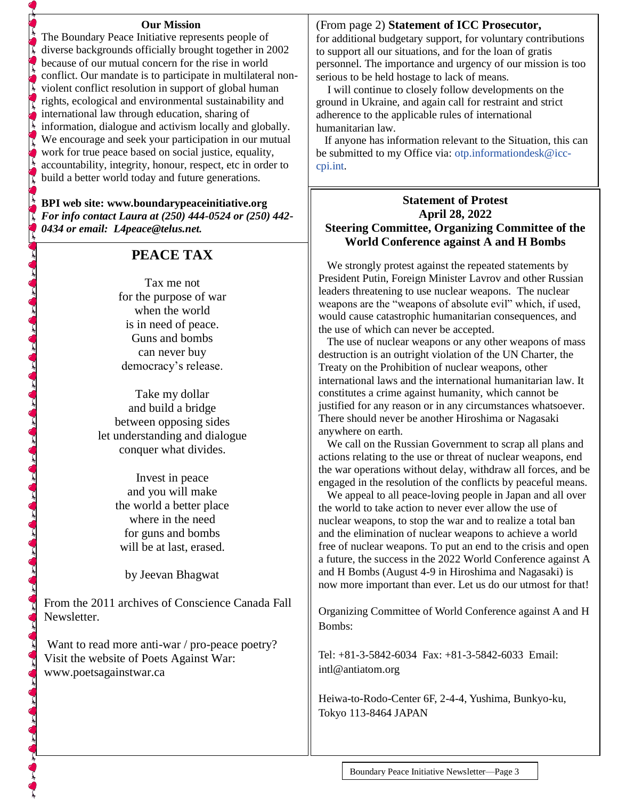#### **Our Mission**

The Boundary Peace Initiative represents people of diverse backgrounds officially brought together in 2002 because of our mutual concern for the rise in world conflict. Our mandate is to participate in multilateral nonviolent conflict resolution in support of global human rights, ecological and environmental sustainability and international law through education, sharing of information, dialogue and activism locally and globally. We encourage and seek your participation in our mutual work for true peace based on social justice, equality, accountability, integrity, honour, respect, etc in order to build a better world today and future generations.

#### **BPI web site: [www.boundarypeaceinitiative.org](http://www.boundarypeaceinitiative.org/)** *For info contact Laura at (250) 444-0524 or (250) 442- 0434 or email: [L4peace@telus.net](mailto:L4peace@telus.net).*

#### **PEACE TAX**

Tax me not for the purpose of war when the world is in need of peace. Guns and bombs can never buy democracy's release.

Take my dollar and build a bridge between opposing sides let understanding and dialogue conquer what divides.

 $\mathcal{L}^{\mathbf{c}}_{\mathbf{c}}$  , and  $\mathcal{L}^{\mathbf{c}}_{\mathbf{c}}$  , and  $\mathcal{L}^{\mathbf{c}}_{\mathbf{c}}$  , and  $\mathcal{L}^{\mathbf{c}}_{\mathbf{c}}$  , and  $\mathcal{L}^{\mathbf{c}}_{\mathbf{c}}$  , and  $\mathcal{L}^{\mathbf{c}}_{\mathbf{c}}$  , and  $\mathcal{L}^{\mathbf{c}}_{\mathbf{c}}$  , and  $\mathcal{L}^{\mathbf{c}}_{\mathbf$ 

Invest in peace and you will make the world a better place where in the need for guns and bombs will be at last, erased.

by Jeevan Bhagwat

From the 2011 archives of Conscience Canada Fall Newsletter.

Want to read more anti-war / pro-peace poetry? Visit the website of Poets Against War: www.poetsagainstwar.ca

#### (From page 2) **Statement of ICC Prosecutor,**

for additional budgetary support, for voluntary contributions to support all our situations, and for the loan of gratis personnel. The importance and urgency of our mission is too serious to be held hostage to lack of means.

 I will continue to closely follow developments on the ground in Ukraine, and again call for restraint and strict adherence to the applicable rules of international humanitarian law.

 If anyone has information relevant to the Situation, this can be submitted to my Office via: [otp.informationdesk@icc](mailto:otp.informationdesk@icc-cpi.int)[cpi.int.](mailto:otp.informationdesk@icc-cpi.int)

#### **Statement of Protest April 28, 2022 Steering Committee, Organizing Committee of the World Conference against A and H Bombs**

 We strongly protest against the repeated statements by President Putin, Foreign Minister Lavrov and other Russian leaders threatening to use nuclear weapons. The nuclear weapons are the "weapons of absolute evil" which, if used, would cause catastrophic humanitarian consequences, and the use of which can never be accepted.

 The use of nuclear weapons or any other weapons of mass destruction is an outright violation of the UN Charter, the Treaty on the Prohibition of nuclear weapons, other international laws and the international humanitarian law. It constitutes a crime against humanity, which cannot be justified for any reason or in any circumstances whatsoever. There should never be another Hiroshima or Nagasaki anywhere on earth.

 We call on the Russian Government to scrap all plans and actions relating to the use or threat of nuclear weapons, end the war operations without delay, withdraw all forces, and be engaged in the resolution of the conflicts by peaceful means.

 We appeal to all peace-loving people in Japan and all over the world to take action to never ever allow the use of nuclear weapons, to stop the war and to realize a total ban and the elimination of nuclear weapons to achieve a world free of nuclear weapons. To put an end to the crisis and open a future, the success in the 2022 World Conference against A and H Bombs (August 4-9 in Hiroshima and Nagasaki) is now more important than ever. Let us do our utmost for that!

Organizing Committee of World Conference against A and H Bombs:

Tel: +81-3-5842-6034 Fax: +81-3-5842-6033 Email: [intl@antiatom.org](mailto:intl@antiatom.org)

Heiwa-to-Rodo-Center 6F, 2-4-4, Yushima, Bunkyo-ku, Tokyo 113-8464 JAPAN